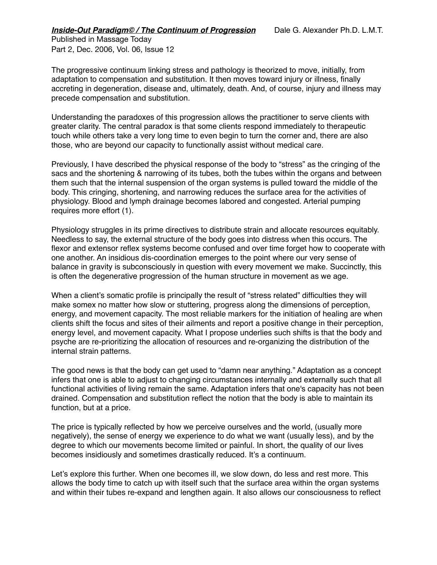Published in Massage Today Part 2, Dec. 2006, Vol. 06, Issue 12

The progressive continuum linking stress and pathology is theorized to move, initially, from adaptation to compensation and substitution. It then moves toward injury or illness, finally accreting in degeneration, disease and, ultimately, death. And, of course, injury and illness may precede compensation and substitution.

Understanding the paradoxes of this progression allows the practitioner to serve clients with greater clarity. The central paradox is that some clients respond immediately to therapeutic touch while others take a very long time to even begin to turn the corner and, there are also those, who are beyond our capacity to functionally assist without medical care.

Previously, I have described the physical response of the body to "stress" as the cringing of the sacs and the shortening & narrowing of its tubes, both the tubes within the organs and between them such that the internal suspension of the organ systems is pulled toward the middle of the body. This cringing, shortening, and narrowing reduces the surface area for the activities of physiology. Blood and lymph drainage becomes labored and congested. Arterial pumping requires more effort (1).

Physiology struggles in its prime directives to distribute strain and allocate resources equitably. Needless to say, the external structure of the body goes into distress when this occurs. The flexor and extensor reflex systems become confused and over time forget how to cooperate with one another. An insidious dis-coordination emerges to the point where our very sense of balance in gravity is subconsciously in question with every movement we make. Succinctly, this is often the degenerative progression of the human structure in movement as we age.

When a client's somatic profile is principally the result of "stress related" difficulties they will make somex no matter how slow or stuttering, progress along the dimensions of perception, energy, and movement capacity. The most reliable markers for the initiation of healing are when clients shift the focus and sites of their ailments and report a positive change in their perception, energy level, and movement capacity. What I propose underlies such shifts is that the body and psyche are re-prioritizing the allocation of resources and re-organizing the distribution of the internal strain patterns.

The good news is that the body can get used to "damn near anything." Adaptation as a concept infers that one is able to adjust to changing circumstances internally and externally such that all functional activities of living remain the same. Adaptation infers that one's capacity has not been drained. Compensation and substitution reflect the notion that the body is able to maintain its function, but at a price.

The price is typically reflected by how we perceive ourselves and the world, (usually more negatively), the sense of energy we experience to do what we want (usually less), and by the degree to which our movements become limited or painful. In short, the quality of our lives becomes insidiously and sometimes drastically reduced. It's a continuum.

Let's explore this further. When one becomes ill, we slow down, do less and rest more. This allows the body time to catch up with itself such that the surface area within the organ systems and within their tubes re-expand and lengthen again. It also allows our consciousness to reflect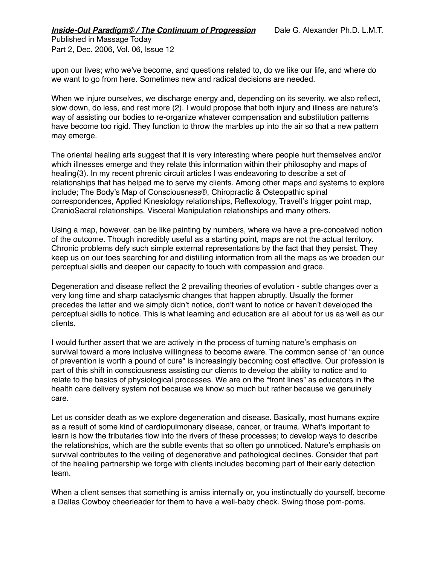Published in Massage Today Part 2, Dec. 2006, Vol. 06, Issue 12

upon our lives; who we've become, and questions related to, do we like our life, and where do we want to go from here. Sometimes new and radical decisions are needed.

When we injure ourselves, we discharge energy and, depending on its severity, we also reflect, slow down, do less, and rest more (2). I would propose that both injury and illness are nature's way of assisting our bodies to re-organize whatever compensation and substitution patterns have become too rigid. They function to throw the marbles up into the air so that a new pattern may emerge.

The oriental healing arts suggest that it is very interesting where people hurt themselves and/or which illnesses emerge and they relate this information within their philosophy and maps of healing(3). In my recent phrenic circuit articles I was endeavoring to describe a set of relationships that has helped me to serve my clients. Among other maps and systems to explore include; The Body's Map of Consciousness®, Chiropractic & Osteopathic spinal correspondences, Applied Kinesiology relationships, Reflexology, Travell's trigger point map, CranioSacral relationships, Visceral Manipulation relationships and many others.

Using a map, however, can be like painting by numbers, where we have a pre-conceived notion of the outcome. Though incredibly useful as a starting point, maps are not the actual territory. Chronic problems defy such simple external representations by the fact that they persist. They keep us on our toes searching for and distilling information from all the maps as we broaden our perceptual skills and deepen our capacity to touch with compassion and grace.

Degeneration and disease reflect the 2 prevailing theories of evolution - subtle changes over a very long time and sharp cataclysmic changes that happen abruptly. Usually the former precedes the latter and we simply didn't notice, don't want to notice or haven't developed the perceptual skills to notice. This is what learning and education are all about for us as well as our clients.

I would further assert that we are actively in the process of turning nature's emphasis on survival toward a more inclusive willingness to become aware. The common sense of "an ounce of prevention is worth a pound of cure" is increasingly becoming cost effective. Our profession is part of this shift in consciousness assisting our clients to develop the ability to notice and to relate to the basics of physiological processes. We are on the "front lines" as educators in the health care delivery system not because we know so much but rather because we genuinely care.

Let us consider death as we explore degeneration and disease. Basically, most humans expire as a result of some kind of cardiopulmonary disease, cancer, or trauma. What's important to learn is how the tributaries flow into the rivers of these processes; to develop ways to describe the relationships, which are the subtle events that so often go unnoticed. Nature's emphasis on survival contributes to the veiling of degenerative and pathological declines. Consider that part of the healing partnership we forge with clients includes becoming part of their early detection team.

When a client senses that something is amiss internally or, you instinctually do yourself, become a Dallas Cowboy cheerleader for them to have a well-baby check. Swing those pom-poms.